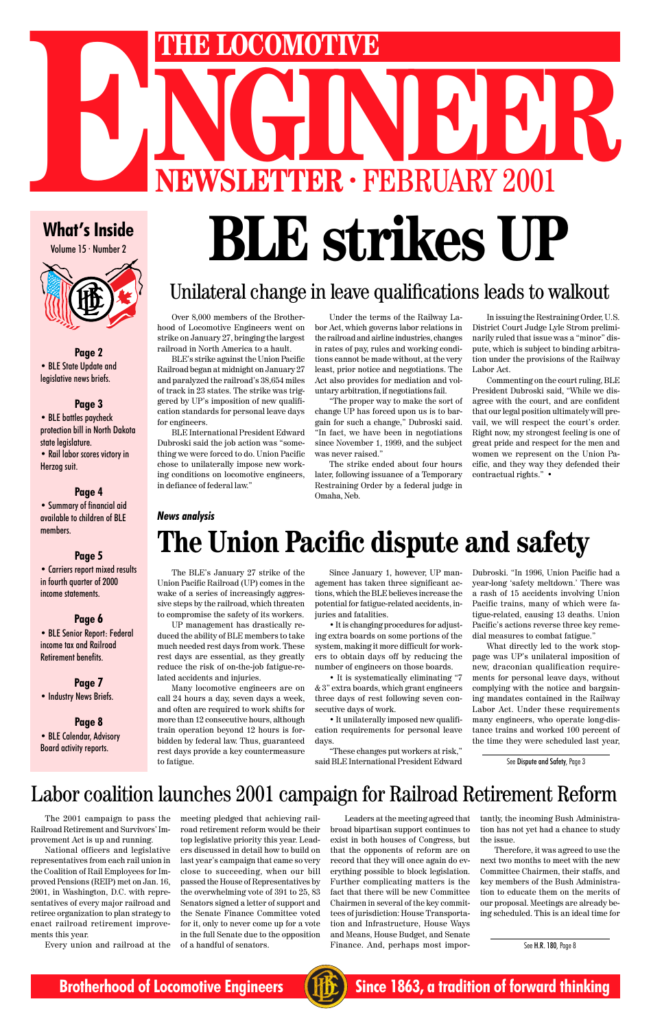# THE LOCOMOTIVE<br>
NEWSLETTER · FEBRUARY 2001 **ENERGY COMOTIVE**<br>
NEWSLETTER · FEBRUARY 2001

Volume 15 · Number 2



**Page 2** • BLE State Update and legislative news briefs.

## **Page 3**

• BLE battles paycheck protection bill in North Dakota state legislature. • Rail labor scores victory in Herzog suit.

### **Page 4**

• Summary of financial aid available to children of BLE members.

## **Page 5**

• Carriers report mixed results in fourth quarter of 2000 income statements.

## **Page 6**

• BLE Senior Report: Federal income tax and Railroad Retirement benefits.

## **Page 7**

• Industry News Briefs.

### **Page 8** • BLE Calendar, Advisory Board activity reports.

# What's Inside<br>
What's Inside<br>
What's Inside<br> **BLE striked Kes UP**

## Unilateral change in leave qualifications leads to walkout

Over 8,000 members of the Brotherhood of Locomotive Engineers went on strike on January 27, bringing the largest railroad in North America to a hault.

BLE's strike against the Union Pacific Railroad began at midnight on January 27 and paralyzed the railroad's 38,654 miles of track in 23 states. The strike was triggered by UP's imposition of new qualification standards for personal leave days for engineers.

BLE International President Edward Dubroski said the job action was "something we were forced to do. Union Pacific chose to unilaterally impose new working conditions on locomotive engineers, in defiance of federal law."

Under the terms of the Railway Labor Act, which governs labor relations in the railroad and airline industries, changes in rates of pay, rules and working conditions cannot be made without, at the very least, prior notice and negotiations. The Act also provides for mediation and voluntary arbitration, if negotiations fail.

"The proper way to make the sort of change UP has forced upon us is to bargain for such a change," Dubroski said. "In fact, we have been in negotiations since November 1, 1999, and the subject was never raised."

The strike ended about four hours later, following issuance of a Temporary Restraining Order by a federal judge in Omaha, Neb.

In issuing the Restraining Order, U.S. District Court Judge Lyle Strom preliminarily ruled that issue was a "minor" dispute, which is subject to binding arbitration under the provisions of the Railway Labor Act.

Commenting on the court ruling, BLE President Dubroski said, "While we disagree with the court, and are confident that our legal position ultimately will prevail, we will respect the court's order. Right now, my strongest feeling is one of great pride and respect for the men and women we represent on the Union Pacific, and they way they defended their contractual rights." •

# **The Union Pacific dispute and safety**

## *News analysis*

The BLE's January 27 strike of the Union Pacific Railroad (UP) comes in the wake of a series of increasingly aggressive steps by the railroad, which threaten to compromise the safety of its workers.

UP management has drastically reduced the ability of BLE members to take much needed rest days from work. These rest days are essential, as they greatly reduce the risk of on-the-job fatigue-related accidents and injuries.

Many locomotive engineers are on call 24 hours a day, seven days a week, and often are required to work shifts for more than 12 consecutive hours, although train operation beyond 12 hours is forbidden by federal law. Thus, guaranteed rest days provide a key countermeasure

Since January 1, however, UP management has taken three significant actions, which the BLE believes increase the potential for fatigue-related accidents, injuries and fatalities.

• It is changing procedures for adjusting extra boards on some portions of the system, making it more difficult for workers to obtain days off by reducing the number of engineers on those boards.

• It is systematically eliminating "7 & 3" extra boards, which grant engineers three days of rest following seven consecutive days of work.

• It unilaterally imposed new qualification requirements for personal leave days.

"These changes put workers at risk,"

Dubroski. "In 1996, Union Pacific had a year-long 'safety meltdown.' There was a rash of 15 accidents involving Union Pacific trains, many of which were fatigue-related, causing 13 deaths. Union Pacific's actions reverse three key remedial measures to combat fatigue."

What directly led to the work stoppage was UP's unilateral imposition of new, draconian qualification requirements for personal leave days, without complying with the notice and bargaining mandates contained in the Railway Labor Act. Under these requirements many engineers, who operate long-distance trains and worked 100 percent of the time they were scheduled last year,

## Labor coalition launches 2001 campaign for Railroad Retirement Reform

The 2001 campaign to pass the Railroad Retirement and Survivors' Improvement Act is up and running.

National officers and legislative representatives from each rail union in the Coalition of Rail Employees for Improved Pensions (REIP) met on Jan. 16, 2001, in Washington, D.C. with representatives of every major railroad and retiree organization to plan strategy to enact railroad retirement improvements this year.

Every union and railroad at the

meeting pledged that achieving railroad retirement reform would be their top legislative priority this year. Leaders discussed in detail how to build on last year's campaign that came so very close to succeeding, when our bill passed the House of Representatives by the overwhelming vote of 391 to 25, 83 Senators signed a letter of support and the Senate Finance Committee voted for it, only to never come up for a vote in the full Senate due to the opposition of a handful of senators.

Leaders at the meeting agreed that broad bipartisan support continues to exist in both houses of Congress, but that the opponents of reform are on record that they will once again do everything possible to block legislation. Further complicating matters is the fact that there will be new Committee Chairmen in several of the key committees of jurisdiction: House Transportation and Infrastructure, House Ways and Means, House Budget, and Senate Finance. And, perhaps most impor-

tantly, the incoming Bush Administration has not yet had a chance to study the issue.

Therefore, it was agreed to use the next two months to meet with the new Committee Chairmen, their staffs, and key members of the Bush Administration to educate them on the merits of our proposal. Meetings are already being scheduled. This is an ideal time for

See H.R. 180, Page 8

**Brotherhood of Locomotive Engineers (HE)** Since 1863, a tradition of forward thinking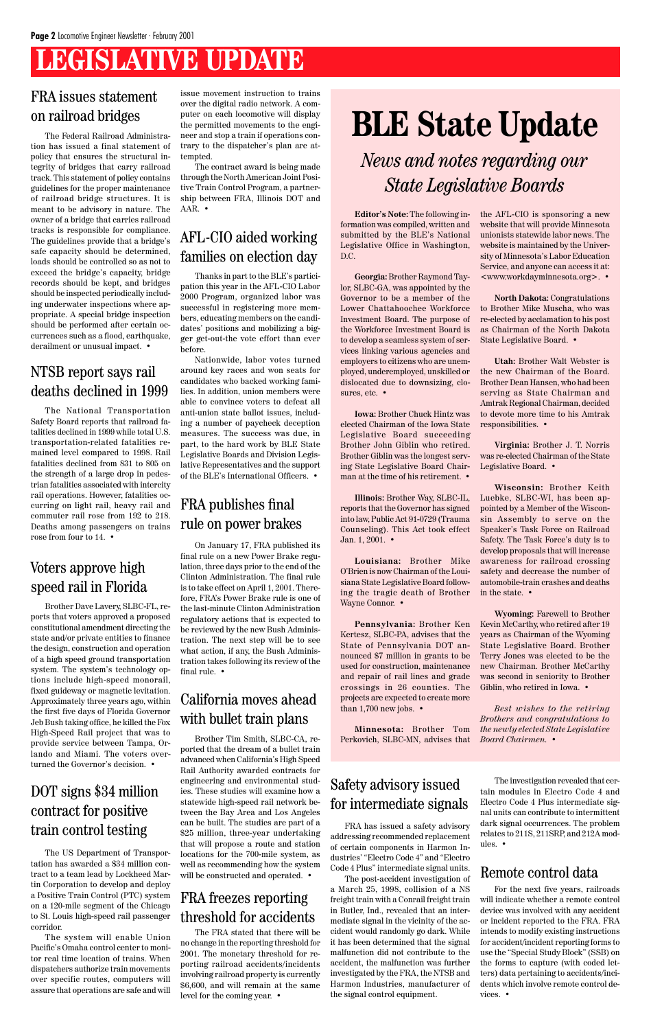## **LEGISLATIVE UPDATE**

# **BLE State Update**

**Georgia:** Brother Raymond Taylor, SLBC-GA, was appointed by the Governor to be a member of the Lower Chattahoochee Workforce Investment Board. The purpose of the Workforce Investment Board is to develop a seamless system of services linking various agencies and employers to citizens who are unemployed, underemployed, unskilled or dislocated due to downsizing, closures, etc. •

**Editor's Note:** The following information was compiled, written and submitted by the BLE's National Legislative Office in Washington, D.C.

**Illinois:** Brother Way, SLBC-IL, reports that the Governor has signed into law, Public Act 91-0729 (Trauma Counseling). This Act took effect Jan. 1, 2001. •

**Iowa:** Brother Chuck Hintz was elected Chairman of the Iowa State Legislative Board succeeding Brother John Giblin who retired. Brother Giblin was the longest serving State Legislative Board Chairman at the time of his retirement. •

**Louisiana:** Brother Mike O'Brien is now Chairman of the Louisiana State Legislative Board following the tragic death of Brother Wayne Connor. •

**Pennsylvania:** Brother Ken Kertesz, SLBC-PA, advises that the State of Pennsylvania DOT announced \$7 million in grants to be used for construction, maintenance and repair of rail lines and grade crossings in 26 counties. The projects are expected to create more than 1,700 new jobs. •

the AFL-CIO is sponsoring a new website that will provide Minnesota unionists statewide labor news. The website is maintained by the University of Minnesota's Labor Education Service, and anyone can access it at: <www.workdayminnesota.org>. •

**North Dakota:** Congratulations to Brother Mike Muscha, who was re-elected by acclamation to his post as Chairman of the North Dakota State Legislative Board. •

**Utah:** Brother Walt Webster is the new Chairman of the Board. Brother Dean Hansen, who had been serving as State Chairman and Amtrak Regional Chairman, decided to devote more time to his Amtrak responsibilities. •

**Virginia:** Brother J. T. Norris was re-elected Chairman of the State Legislative Board. •

**Minnesota:** Brother Tom Perkovich, SLBC-MN, advises that *Board Chairmen.* •

**Wisconsin:** Brother Keith Luebke, SLBC-WI, has been appointed by a Member of the Wisconsin Assembly to serve on the Speaker's Task Force on Railroad Safety. The Task Force's duty is to develop proposals that will increase awareness for railroad crossing safety and decrease the number of automobile-train crashes and deaths in the state. •

**Wyoming:** Farewell to Brother Kevin McCarthy, who retired after 19 years as Chairman of the Wyoming State Legislative Board. Brother Terry Jones was elected to be the new Chairman. Brother McCarthy was second in seniority to Brother Giblin, who retired in Iowa. •

*Best wishes to the retiring Brothers and congratulations to the newly elected State Legislative*

*News and notes regarding our State Legislative Boards*

## FRA issues statement on railroad bridges

The Federal Railroad Administration has issued a final statement of policy that ensures the structural integrity of bridges that carry railroad track. This statement of policy contains guidelines for the proper maintenance of railroad bridge structures. It is meant to be advisory in nature. The owner of a bridge that carries railroad tracks is responsible for compliance. The guidelines provide that a bridge's safe capacity should be determined, loads should be controlled so as not to exceed the bridge's capacity, bridge records should be kept, and bridges should be inspected periodically including underwater inspections where appropriate. A special bridge inspection should be performed after certain occurrences such as a flood, earthquake, derailment or unusual impact. •

> Brother Tim Smith, SLBC-CA, reported that the dream of a bullet train advanced when California's High Speed Rail Authority awarded contracts for engineering and environmental studies. These studies will examine how a statewide high-speed rail network between the Bay Area and Los Angeles can be built. The studies are part of a \$25 million, three-year undertaking that will propose a route and station locations for the 700-mile system, as well as recommending how the system will be constructed and operated. •

Brother Dave Lavery, SLBC-FL, reports that voters approved a proposed constitutional amendment directing the state and/or private entities to finance the design, construction and operation of a high speed ground transportation system. The system's technology options include high-speed monorail, fixed guideway or magnetic levitation. Approximately three years ago, within the first five days of Florida Governor Jeb Bush taking office, he killed the Fox High-Speed Rail project that was to provide service between Tampa, Orlando and Miami. The voters over-

turned the Governor's decision. •

## Voters approve high speed rail in Florida

The National Transportation Safety Board reports that railroad fatalities declined in 1999 while total U.S. transportation-related fatalities remained level compared to 1998. Rail fatalities declined from 831 to 805 on the strength of a large drop in pedestrian fatalities associated with intercity rail operations. However, fatalities occurring on light rail, heavy rail and commuter rail rose from 192 to 218. Deaths among passengers on trains rose from four to 14. •

## NTSB report says rail deaths declined in 1999

## DOT signs \$34 million contract for positive train control testing

The US Department of Transportation has awarded a \$34 million contract to a team lead by Lockheed Martin Corporation to develop and deploy a Positive Train Control (PTC) system on a 120-mile segment of the Chicago to St. Louis high-speed rail passenger corridor.

The system will enable Union Pacific's Omaha control center to monitor real time location of trains. When dispatchers authorize train movements over specific routes, computers will assure that operations are safe and will issue movement instruction to trains over the digital radio network. A computer on each locomotive will display the permitted movements to the engineer and stop a train if operations contrary to the dispatcher's plan are attempted.

The contract award is being made through the North American Joint Positive Train Control Program, a partnership between FRA, Illinois DOT and AAR. •

Thanks in part to the BLE's participation this year in the AFL-CIO Labor 2000 Program, organized labor was successful in registering more members, educating members on the candidates' positions and mobilizing a bigger get-out-the vote effort than ever before.

Nationwide, labor votes turned around key races and won seats for candidates who backed working families. In addition, union members were able to convince voters to defeat all anti-union state ballot issues, including a number of paycheck deception measures. The success was due, in part, to the hard work by BLE State Legislative Boards and Division Legislative Representatives and the support of the BLE's International Officers. •

## AFL-CIO aided working families on election day

On January 17, FRA published its final rule on a new Power Brake regulation, three days prior to the end of the Clinton Administration. The final rule is to take effect on April 1, 2001. Therefore, FRA's Power Brake rule is one of the last-minute Clinton Administration regulatory actions that is expected to be reviewed by the new Bush Administration. The next step will be to see what action, if any, the Bush Administration takes following its review of the final rule. •

## FRA publishes final rule on power brakes

## California moves ahead with bullet train plans

The FRA stated that there will be no change in the reporting threshold for 2001. The monetary threshold for reporting railroad accidents/incidents involving railroad property is currently \$6,600, and will remain at the same level for the coming year. •

## FRA freezes reporting threshold for accidents

FRA has issued a safety advisory addressing recommended replacement of certain components in Harmon Industries' "Electro Code 4" and "Electro Code 4 Plus" intermediate signal units.

The post-accident investigation of a March 25, 1998, collision of a NS freight train with a Conrail freight train in Butler, Ind., revealed that an intermediate signal in the vicinity of the accident would randomly go dark. While it has been determined that the signal malfunction did not contribute to the accident, the malfunction was further investigated by the FRA, the NTSB and Harmon Industries, manufacturer of the signal control equipment.

## Safety advisory issued for intermediate signals

For the next five years, railroads will indicate whether a remote control device was involved with any accident or incident reported to the FRA. FRA intends to modify existing instructions for accident/incident reporting forms to use the "Special Study Block" (SSB) on the forms to capture (with coded letters) data pertaining to accidents/incidents which involve remote control devices. •

## Remote control data

The investigation revealed that certain modules in Electro Code 4 and Electro Code 4 Plus intermediate signal units can contribute to intermittent dark signal occurrences. The problem relates to 211S, 211SRP, and 212A modules. •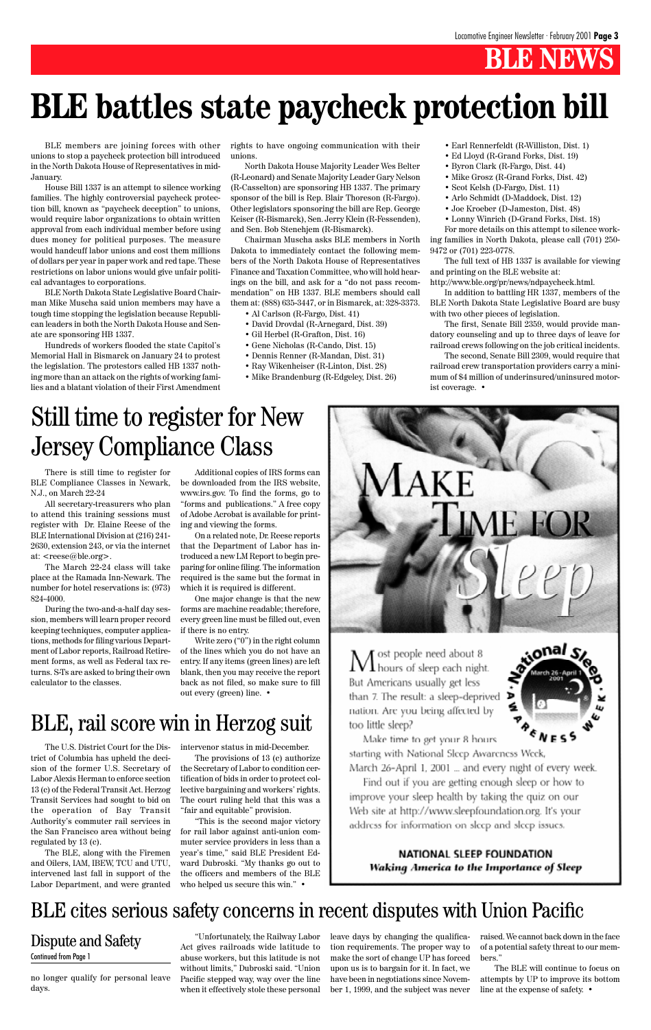## **BLE NEWS**

All secretary-treasurers who plan to attend this training sessions must register with Dr. Elaine Reese of the BLE International Division at (216) 241- 2630, extension 243, or via the internet at: <reese@ble.org>.

There is still time to register for BLE Compliance Classes in Newark, N.J., on March 22-24

The March 22-24 class will take place at the Ramada Inn-Newark. The number for hotel reservations is: (973) 824-4000.

During the two-and-a-half day session, members will learn proper record keeping techniques, computer applications, methods for filing various Department of Labor reports, Railroad Retirement forms, as well as Federal tax returns. S-Ts are asked to bring their own calculator to the classes.

Additional copies of IRS forms can be downloaded from the IRS website, www.irs.gov. To find the forms, go to "forms and publications." A free copy of Adobe Acrobat is available for printing and viewing the forms.

On a related note, Dr. Reese reports that the Department of Labor has introduced a new LM Report to begin preparing for online filing. The information required is the same but the format in which it is required is different.

One major change is that the new forms are machine readable; therefore, every green line must be filled out, even if there is no entry.

Write zero ("0") in the right column of the lines which you do not have an entry. If any items (green lines) are left blank, then you may receive the report back as not filed, so make sure to fill out every (green) line. •

## Still time to register for New Jersey Compliance Class

The U.S. District Court for the Dis-intervenor status in mid-December. trict of Columbia has upheld the decision of the former U.S. Secretary of Labor Alexis Herman to enforce section 13 (c) of the Federal Transit Act. Herzog Transit Services had sought to bid on the operation of Bay Transit Authority's commuter rail services in the San Francisco area without being regulated by 13 (c). The BLE, along with the Firemen and Oilers, IAM, IBEW, TCU and UTU, intervened last fall in support of the Labor Department, and were granted



BLE members are joining forces with other unions to stop a paycheck protection bill introduced in the North Dakota House of Representatives in mid-January.

House Bill 1337 is an attempt to silence working families. The highly controversial paycheck protection bill, known as "paycheck deception" to unions, would require labor organizations to obtain written approval from each individual member before using dues money for political purposes. The measure would handcuff labor unions and cost them millions of dollars per year in paper work and red tape. These restrictions on labor unions would give unfair political advantages to corporations.

BLE North Dakota State Legislative Board Chairman Mike Muscha said union members may have a tough time stopping the legislation because Republican leaders in both the North Dakota House and Senate are sponsoring HB 1337.

Hundreds of workers flooded the state Capitol's Memorial Hall in Bismarck on January 24 to protest the legislation. The protestors called HB 1337 nothing more than an attack on the rights of working families and a blatant violation of their First Amendment rights to have ongoing communication with their unions.

North Dakota House Majority Leader Wes Belter (R-Leonard) and Senate Majority Leader Gary Nelson (R-Casselton) are sponsoring HB 1337. The primary sponsor of the bill is Rep. Blair Thoreson (R-Fargo). Other legislators sponsoring the bill are Rep. George Keiser (R-Bismarck), Sen. Jerry Klein (R-Fessenden), and Sen. Bob Stenehjem (R-Bismarck).

Chairman Muscha asks BLE members in North Dakota to immediately contact the following members of the North Dakota House of Representatives Finance and Taxation Committee, who will hold hearings on the bill, and ask for a "do not pass recommendation" on HB 1337. BLE members should call them at: (888) 635-3447, or in Bismarck, at: 328-3373.

- Al Carlson (R-Fargo, Dist. 41)
- David Drovdal (R-Arnegard, Dist. 39)
- Gil Herbel (R-Grafton, Dist. 16)
- Gene Nicholas (R-Cando, Dist. 15)
- Dennis Renner (R-Mandan, Dist. 31)
- Ray Wikenheiser (R-Linton, Dist. 28)
- Mike Brandenburg (R-Edgeley, Dist. 26)
- Earl Rennerfeldt (R-Williston, Dist. 1)
- Ed Lloyd (R-Grand Forks, Dist. 19)
- Byron Clark (R-Fargo, Dist. 44)
- Mike Grosz (R-Grand Forks, Dist. 42)
- Scot Kelsh (D-Fargo, Dist. 11)
- Arlo Schmidt (D-Maddock, Dist. 12)
- Joe Kroeber (D-Jameston, Dist. 48)
- Lonny Winrich (D-Grand Forks, Dist. 18)

For more details on this attempt to silence working families in North Dakota, please call (701) 250- 9472 or (701) 223-0778.

The full text of HB 1337 is available for viewing and printing on the BLE website at:

http://www.ble.org/pr/news/ndpaycheck.html.

In addition to battling HR 1337, members of the BLE North Dakota State Legislative Board are busy with two other pieces of legislation.

The first, Senate Bill 2359, would provide mandatory counseling and up to three days of leave for railroad crews following on the job critical incidents.

The second, Senate Bill 2309, would require that railroad crew transportation providers carry a minimum of \$4 million of underinsured/uninsured motorist coverage. •

# **BLE battles state paycheck protection bill**

The provisions of 13 (c) authorize the Secretary of Labor to condition certification of bids in order to protect collective bargaining and workers' rights. The court ruling held that this was a "fair and equitable" provision. "This is the second major victory for rail labor against anti-union commuter service providers in less than a year's time," said BLE President Edward Dubroski. "My thanks go out to the officers and members of the BLE who helped us secure this win." •



 $M$  ost people need about 8<br>M hours of sleep each night. But Americans usually get less than 7. The result: a sleep-deprived nation. Are you being affected by too little sleep?



Make time to get your 8 hours starting with National Sleep Awareness Week, March 26-April 1, 2001 ... and every night of every week. Find out if you are getting enough sleep or how to improve your sleep health by taking the quiz on our Web site at http://www.sleepfoundation.org. It's your address for information on sleep and sleep issues.

### NATIONAL SLEEP FOUNDATION Waking America to the Importance of Sleep

no longer qualify for personal leave days.

"Unfortunately, the Railway Labor Act gives railroads wide latitude to abuse workers, but this latitude is not without limits," Dubroski said. "Union Pacific stepped way, way over the line when it effectively stole these personal leave days by changing the qualification requirements. The proper way to make the sort of change UP has forced upon us is to bargain for it. In fact, we have been in negotiations since November 1, 1999, and the subject was never

## BLE cites serious safety concerns in recent disputes with Union Pacific

raised. We cannot back down in the face of a potential safety threat to our members."

The BLE will continue to focus on attempts by UP to improve its bottom line at the expense of safety. •

## Dispute and Safety

#### Continued from Page 1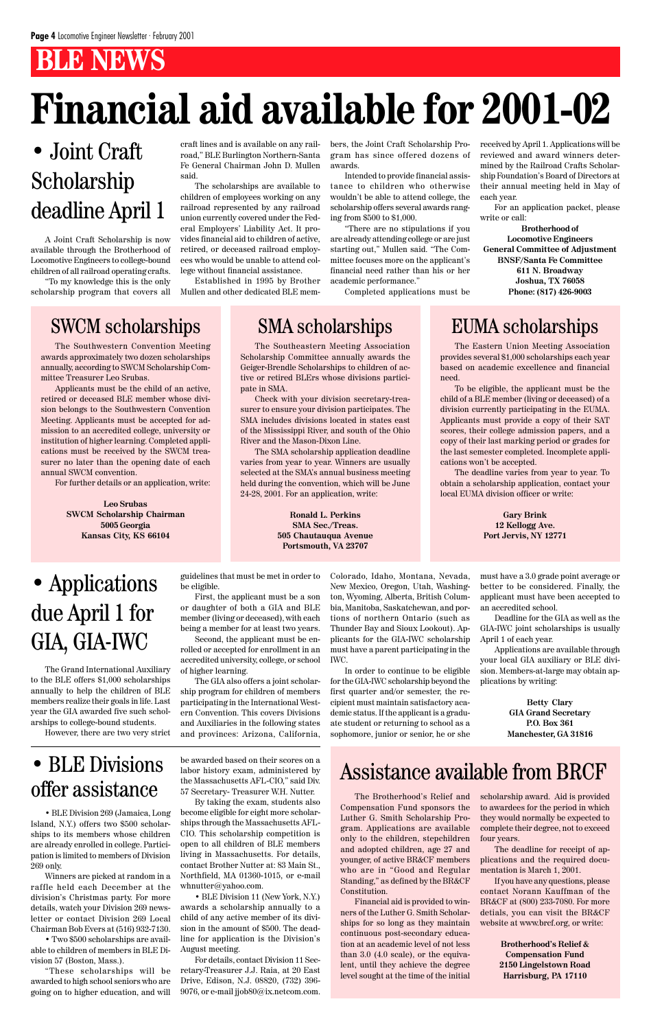## **BLE NEWS**

# **Financial aid available for 2001-02**

A Joint Craft Scholarship is now available through the Brotherhood of Locomotive Engineers to college-bound children of all railroad operating crafts.

"To my knowledge this is the only scholarship program that covers all

## SWCM scholarships SMA scholarships EUMA scholarships

## • Joint Craft Scholarship deadline April 1

craft lines and is available on any railroad," BLE Burlington Northern-Santa Fe General Chairman John D. Mullen said.

The scholarships are available to children of employees working on any railroad represented by any railroad union currently covered under the Federal Employers' Liability Act. It provides financial aid to children of active, retired, or deceased railroad employees who would be unable to attend college without financial assistance.

Established in 1995 by Brother Mullen and other dedicated BLE mem-

bers, the Joint Craft Scholarship Program has since offered dozens of awards.

Intended to provide financial assistance to children who otherwise wouldn't be able to attend college, the scholarship offers several awards ranging from \$500 to \$1,000.

"There are no stipulations if you are already attending college or are just starting out," Mullen said. "The Committee focuses more on the applicant's financial need rather than his or her academic performance."

Completed applications must be

received by April 1. Applications will be reviewed and award winners determined by the Railroad Crafts Scholarship Foundation's Board of Directors at their annual meeting held in May of each year.

For an application packet, please write or call:

**Brotherhood of Locomotive Engineers General Committee of Adjustment BNSF/Santa Fe Committee 611 N. Broadway Joshua, TX 76058 Phone: (817) 426-9003**

The Southwestern Convention Meeting awards approximately two dozen scholarships annually, according to SWCM Scholarship Committee Treasurer Leo Srubas.

Applicants must be the child of an active, retired or deceased BLE member whose division belongs to the Southwestern Convention Meeting. Applicants must be accepted for admission to an accredited college, university or institution of higher learning. Completed applications must be received by the SWCM treasurer no later than the opening date of each annual SWCM convention.

For further details or an application, write:

**Leo Srubas SWCM Scholarship Chairman 5005 Georgia Kansas City, KS 66104**

The Southeastern Meeting Association Scholarship Committee annually awards the Geiger-Brendle Scholarships to children of active or retired BLErs whose divisions participate in SMA.

Check with your division secretary-treasurer to ensure your division participates. The SMA includes divisions located in states east of the Mississippi River, and south of the Ohio River and the Mason-Dixon Line.

The SMA scholarship application deadline varies from year to year. Winners are usually selected at the SMA's annual business meeting held during the convention, which will be June 24-28, 2001. For an application, write:

> **Ronald L. Perkins SMA Sec./Treas. 505 Chautauqua Avenue Portsmouth, VA 23707**

The Eastern Union Meeting Association provides several \$1,000 scholarships each year based on academic excellence and financial need.

To be eligible, the applicant must be the child of a BLE member (living or deceased) of a division currently participating in the EUMA. Applicants must provide a copy of their SAT scores, their college admission papers, and a copy of their last marking period or grades for the last semester completed. Incomplete applications won't be accepted.

The deadline varies from year to year. To obtain a scholarship application, contact your local EUMA division officer or write:

> **Gary Brink 12 Kellogg Ave. Port Jervis, NY 12771**

The Brotherhood's Relief and Compensation Fund sponsors the Luther G. Smith Scholarship Program. Applications are available only to the children, stepchildren and adopted children, age 27 and younger, of active BR&CF members who are in "Good and Regular Standing," as defined by the BR&CF Constitution.

Financial aid is provided to winners of the Luther G. Smith Scholarships for so long as they maintain continuous post-secondary education at an academic level of not less than 3.0 (4.0 scale), or the equivalent, until they achieve the degree level sought at the time of the initial

• BLE Division 269 (Jamaica, Long Island, N.Y.) offers two \$500 scholarships to its members whose children are already enrolled in college. Participation is limited to members of Division 269 only.

Winners are picked at random in a raffle held each December at the division's Christmas party. For more details, watch your Division 269 newsletter or contact Division 269 Local Chairman Bob Evers at (516) 932-7130.

• Two \$500 scholarships are available to children of members in BLE Division 57 (Boston, Mass.).

"These scholarships will be awarded to high school seniors who are going on to higher education, and will

## • BLE Divisions offer assistance

be awarded based on their scores on a labor history exam, administered by the Massachusetts AFL-CIO," said Div. 57 Secretary- Treasurer W.H. Nutter.

By taking the exam, students also become eligible for eight more scholarships through the Massachusetts AFL-CIO. This scholarship competition is open to all children of BLE members living in Massachusetts. For details, contact Brother Nutter at: 83 Main St., Northfield, MA 01360-1015, or e-mail whnutter@yahoo.com.

• BLE Division 11 (New York, N.Y.) awards a scholarship annually to a child of any active member of its division in the amount of \$500. The deadline for application is the Division's August meeting.

For details, contact Division 11 Secretary-Treasurer J.J. Raia, at 20 East Drive, Edison, N.J. 08820, (732) 396- 9076, or e-mail jjob80@ix.netcom.com.

The Grand International Auxiliary to the BLE offers \$1,000 scholarships annually to help the children of BLE members realize their goals in life. Last year the GIA awarded five such scholarships to college-bound students.

However, there are two very strict

## • Applications due April 1 for GIA, GIA-IWC

guidelines that must be met in order to be eligible.

First, the applicant must be a son or daughter of both a GIA and BLE member (living or deceased), with each being a member for at least two years.

Second, the applicant must be enrolled or accepted for enrollment in an accredited university, college, or school of higher learning.

The GIA also offers a joint scholarship program for children of members participating in the International Western Convention. This covers Divisions and Auxiliaries in the following states and provinces: Arizona, California, Colorado, Idaho, Montana, Nevada, New Mexico, Oregon, Utah, Washington, Wyoming, Alberta, British Columbia, Manitoba, Saskatchewan, and portions of northern Ontario (such as Thunder Bay and Sioux Lookout). Applicants for the GIA-IWC scholarship must have a parent participating in the IWC.

In order to continue to be eligible for the GIA-IWC scholarship beyond the first quarter and/or semester, the recipient must maintain satisfactory academic status. If the applicant is a graduate student or returning to school as a sophomore, junior or senior, he or she must have a 3.0 grade point average or better to be considered. Finally, the applicant must have been accepted to an accredited school.

Deadline for the GIA as well as the GIA-IWC joint scholarships is usually April 1 of each year.

Applications are available through your local GIA auxiliary or BLE division. Members-at-large may obtain applications by writing:

> **Betty Clary GIA Grand Secretary P.O. Box 361 Manchester, GA 31816**

scholarship award. Aid is provided to awardees for the period in which they would normally be expected to complete their degree, not to exceed four years.

The deadline for receipt of applications and the required documentation is March 1, 2001.

If you have any questions, please contact Norann Kauffman of the BR&CF at (800) 233-7080. For more detials, you can visit the BR&CF website at www.brcf.org, or write:

> **Brotherhood's Relief & Compensation Fund 2150 Lingelstown Road Harrisburg, PA 17110**

## Assistance available from BRCF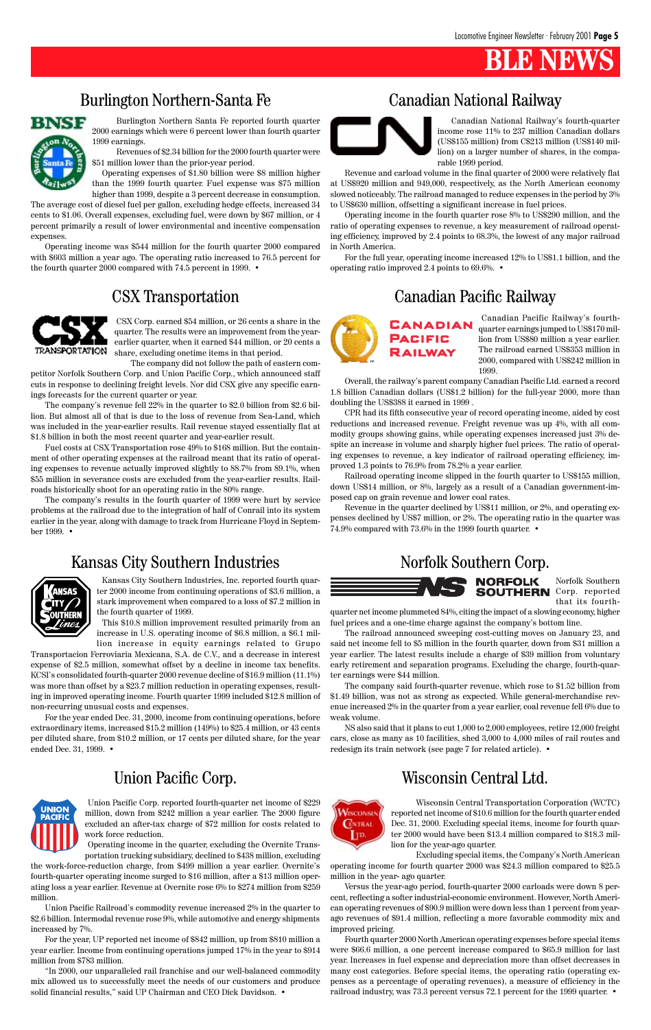## **BLE NEWS**

Burlington Northern Santa Fe reported fourth quarter 2000 earnings which were 6 percent lower than fourth quarter 1999 earnings.

Revenues of \$2.34 billion for the 2000 fourth quarter were \$51 million lower than the prior-year period.

Operating expenses of \$1.80 billion were \$8 million higher than the 1999 fourth quarter. Fuel expense was \$75 million higher than 1999, despite a 3 percent decrease in consumption.

The average cost of diesel fuel per gallon, excluding hedge effects, increased 34 cents to \$1.06. Overall expenses, excluding fuel, were down by \$67 million, or 4 percent primarily a result of lower environmental and incentive compensation expenses.

Operating income was \$544 million for the fourth quarter 2000 compared with \$603 million a year ago. The operating ratio increased to 76.5 percent for the fourth quarter 2000 compared with 74.5 percent in 1999. •



Canadian National Railway's fourth-quarter income rose 11% to 237 million Canadian dollars (US\$155 million) from C\$213 million (US\$140 million) on a larger number of shares, in the comparable 1999 period.

Revenue and carload volume in the final quarter of 2000 were relatively flat at US\$920 million and 949,000, respectively, as the North American economy slowed noticeably. The railroad managed to reduce expenses in the period by 3% to US\$630 million, offsetting a significant increase in fuel prices.

Operating income in the fourth quarter rose 8% to US\$290 million, and the ratio of operating expenses to revenue, a key measurement of railroad operating efficiency, improved by 2.4 points to 68.3%, the lowest of any major railroad in North America.

For the full year, operating income increased 12% to US\$1.1 billion, and the operating ratio improved 2.4 points to 69.6%. •

> Canadian Pacific Railway's fourthquarter earnings jumped to US\$170 million from US\$80 million a year earlier. The railroad earned US\$353 million in 2000, compared with US\$242 million in 1999.

Overall, the railway's parent company Canadian Pacific Ltd. earned a record 1.8 billion Canadian dollars (US\$1.2 billion) for the full-year 2000, more than doubling the US\$388 it earned in 1999 .

CPR had its fifth consecutive year of record operating income, aided by cost reductions and increased revenue. Freight revenue was up 4%, with all commodity groups showing gains, while operating expenses increased just 3% despite an increase in volume and sharply higher fuel prices. The ratio of operating expenses to revenue, a key indicator of railroad operating efficiency, improved 1.3 points to 76.9% from 78.2% a year earlier.

Railroad operating income slipped in the fourth quarter to US\$155 million, down US\$14 million, or 8%, largely as a result of a Canadian government-imposed cap on grain revenue and lower coal rates.

Revenue in the quarter declined by US\$11 million, or 2%, and operating expenses declined by US\$7 million, or 2%. The operating ratio in the quarter was 74.9% compared with 73.6% in the 1999 fourth quarter. •



"In 2000, our unparalleled rail franchise and our well-balanced commodity mix allowed us to successfully meet the needs of our customers and produce solid financial results," said UP Chairman and CEO Dick Davidson. •

Kansas City Southern Industries, Inc. reported fourth quarter 2000 income from continuing operations of \$3.6 million, a stark improvement when compared to a loss of \$7.2 million in the fourth quarter of 1999.

This \$10.8 million improvement resulted primarily from an increase in U.S. operating income of \$6.8 million, a \$6.1 million increase in equity earnings related to Grupo

Transportacion Ferroviaria Mexicana, S.A. de C.V., and a decrease in interest expense of \$2.5 million, somewhat offset by a decline in income tax benefits. KCSI's consolidated fourth-quarter 2000 revenue decline of \$16.9 million (11.1%) was more than offset by a \$23.7 million reduction in operating expenses, resulting in improved operating income. Fourth quarter 1999 included \$12.8 million of non-recurring unusual costs and expenses.

For the year ended Dec. 31, 2000, income from continuing operations, before extraordinary items, increased \$15.2 million (149%) to \$25.4 million, or 43 cents per diluted share, from \$10.2 million, or 17 cents per diluted share, for the year ended Dec. 31, 1999. •



Norfolk Southern **SOUTHERN** Corp. reported that its fourth-

quarter net income plummeted 84%, citing the impact of a slowing economy, higher fuel prices and a one-time charge against the company's bottom line.

The railroad announced sweeping cost-cutting moves on January 23, and said net income fell to \$5 million in the fourth quarter, down from \$31 million a year earlier. The latest results include a charge of \$39 million from voluntary early retirement and separation programs. Excluding the charge, fourth-quarter earnings were \$44 million.

The company said fourth-quarter revenue, which rose to \$1.52 billion from \$1.49 billion, was not as strong as expected. While general-merchandise revenue increased 2% in the quarter from a year earlier, coal revenue fell 6% due to weak volume.

NS also said that it plans to cut 1,000 to 2,000 employees, retire 12,000 freight cars, close as many as 10 facilities, shed 3,000 to 4,000 miles of rail routes and redesign its train network (see page 7 for related article). •

Union Pacific Corp. reported fourth-quarter net income of \$229 million, down from \$242 million a year earlier. The 2000 figure excluded an after-tax charge of \$72 million for costs related to work force reduction.

Operating income in the quarter, excluding the Overnite Transportation trucking subsidiary, declined to \$438 million, excluding

the work-force-reduction charge, from \$499 million a year earlier. Overnite's fourth-quarter operating income surged to \$16 million, after a \$13 million operating loss a year earlier. Revenue at Overnite rose 6% to \$274 million from \$259 million.

Union Pacific Railroad's commodity revenue increased 2% in the quarter to \$2.6 billion. Intermodal revenue rose 9%, while automotive and energy shipments increased by 7%.

For the year, UP reported net income of \$842 million, up from \$810 million a year earlier. Income from continuing operations jumped 17% in the year to \$914 million from \$783 million.

## Burlington Northern-Santa Fe Canadian National Railway



## CSX Transportation Canadian Pacific Railway



## Union Pacific Corp.



CSX Corp. earned \$54 million, or 26 cents a share in the quarter. The results were an improvement from the yearearlier quarter, when it earned \$44 million, or 20 cents a share, excluding onetime items in that period.

The company did not follow the path of eastern competitor Norfolk Southern Corp. and Union Pacific Corp., which announced staff cuts in response to declining freight levels. Nor did CSX give any specific earnings forecasts for the current quarter or year.

The company's revenue fell 22% in the quarter to \$2.0 billion from \$2.6 billion. But almost all of that is due to the loss of revenue from Sea-Land, which was included in the year-earlier results. Rail revenue stayed essentially flat at \$1.8 billion in both the most recent quarter and year-earlier result.

Fuel costs at CSX Transportation rose 49% to \$168 million. But the containment of other operating expenses at the railroad meant that its ratio of operating expenses to revenue actually improved slightly to 88.7% from 89.1%, when \$55 million in severance costs are excluded from the year-earlier results. Railroads historically shoot for an operating ratio in the 80% range.

The company's results in the fourth quarter of 1999 were hurt by service problems at the railroad due to the integration of half of Conrail into its system earlier in the year, along with damage to track from Hurricane Floyd in September 1999. •

## Kansas City Southern Industries Norfolk Southern Corp.



## Wisconsin Central Ltd.



Wisconsin Central Transportation Corporation (WCTC) reported net income of \$10.6 million for the fourth quarter ended Dec. 31, 2000. Excluding special items, income for fourth quarter 2000 would have been \$13.4 million compared to \$18.3 million for the year-ago quarter.

Excluding special items, the Company's North American

operating income for fourth quarter 2000 was \$24.3 million compared to \$25.5 million in the year- ago quarter.

Versus the year-ago period, fourth-quarter 2000 carloads were down 8 percent, reflecting a softer industrial-economic environment. However, North American operating revenues of \$90.9 million were down less than 1 percent from yearago revenues of \$91.4 million, reflecting a more favorable commodity mix and improved pricing.

Fourth quarter 2000 North American operating expenses before special items were \$66.6 million, a one percent increase compared to \$65.9 million for last year. Increases in fuel expense and depreciation more than offset decreases in many cost categories. Before special items, the operating ratio (operating expenses as a percentage of operating revenues), a measure of efficiency in the railroad industry, was 73.3 percent versus 72.1 percent for the 1999 quarter. •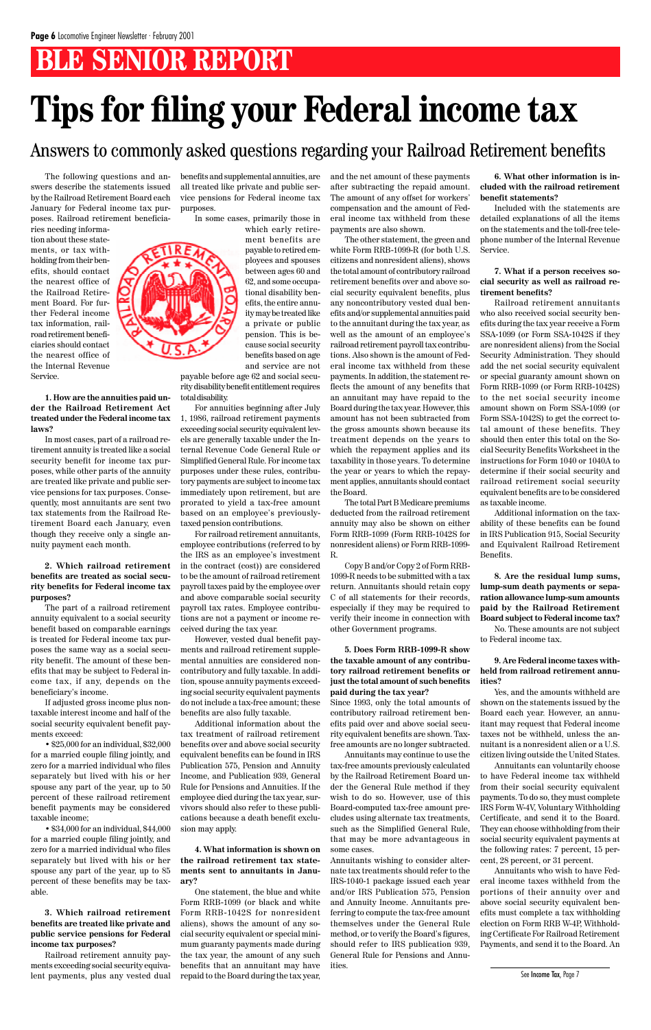## **BLE SENIOR REPORT**

The following questions and answers describe the statements issued by the Railroad Retirement Board each January for Federal income tax purposes. Railroad retirement beneficia-

ries needing information about these statements, or tax withholding from their benefits, should contact the nearest office of the Railroad Retirement Board. For further Federal income tax information, railroad retirement beneficiaries should contact the nearest office of the Internal Revenue Service.

#### **1. How are the annuities paid under the Railroad Retirement Act treated under the Federal income tax laws?**

In most cases, part of a railroad retirement annuity is treated like a social security benefit for income tax purposes, while other parts of the annuity are treated like private and public service pensions for tax purposes. Consequently, most annuitants are sent two tax statements from the Railroad Retirement Board each January, even though they receive only a single annuity payment each month.

#### **2. Which railroad retirement benefits are treated as social security benefits for Federal income tax purposes?**

The part of a railroad retirement annuity equivalent to a social security benefit based on comparable earnings is treated for Federal income tax purposes the same way as a social security benefit. The amount of these benefits that may be subject to Federal income tax, if any, depends on the beneficiary's income.

If adjusted gross income plus nontaxable interest income and half of the social security equivalent benefit payments exceed:

• \$25,000 for an individual, \$32,000 for a married couple filing jointly, and zero for a married individual who files separately but lived with his or her spouse any part of the year, up to 50 percent of these railroad retirement benefit payments may be considered taxable income; • \$34,000 for an individual, \$44,000 for a married couple filing jointly, and zero for a married individual who files separately but lived with his or her spouse any part of the year, up to 85 percent of these benefits may be taxable.

**3. Which railroad retirement benefits are treated like private and public service pensions for Federal income tax purposes?**

Railroad retirement annuity payments exceeding social security equivalent payments, plus any vested dual benefits and supplemental annuities, are all treated like private and public service pensions for Federal income tax purposes.

In some cases, primarily those in

which early retirement benefits are payable to retired employees and spouses between ages 60 and 62, and some occupational disability benefits, the entire annuity may be treated like a private or public pension. This is because social security benefits based on age and service are not

payable before age 62 and social security disability benefit entitlement requires total disability.

For annuities beginning after July 1, 1986, railroad retirement payments exceeding social security equivalent levels are generally taxable under the Internal Revenue Code General Rule or Simplified General Rule. For income tax purposes under these rules, contributory payments are subject to income tax immediately upon retirement, but are prorated to yield a tax-free amount based on an employee's previouslytaxed pension contributions.

For railroad retirement annuitants, employee contributions (referred to by the IRS as an employee's investment in the contract (cost)) are considered to be the amount of railroad retirement payroll taxes paid by the employee over and above comparable social security payroll tax rates. Employee contributions are not a payment or income received during the tax year.

However, vested dual benefit payments and railroad retirement supplemental annuities are considered noncontributory and fully taxable. In addition, spouse annuity payments exceeding social security equivalent payments do not include a tax-free amount; these benefits are also fully taxable.

Additional information about the tax treatment of railroad retirement benefits over and above social security equivalent benefits can be found in IRS Publication 575, Pension and Annuity Income, and Publication 939, General Rule for Pensions and Annuities. If the employee died during the tax year, survivors should also refer to these publications because a death benefit exclusion may apply.

**4. What information is shown on the railroad retirement tax statements sent to annuitants in January?**

One statement, the blue and white Form RRB-1099 (or black and white Form RRB-1042S for nonresident aliens), shows the amount of any social security equivalent or special minimum guaranty payments made during the tax year, the amount of any such benefits that an annuitant may have repaid to the Board during the tax year,

and the net amount of these payments after subtracting the repaid amount. The amount of any offset for workers' compensation and the amount of Federal income tax withheld from these payments are also shown.

The other statement, the green and white Form RRB-1099-R (for both U.S. citizens and nonresident aliens), shows the total amount of contributory railroad retirement benefits over and above social security equivalent benefits, plus any noncontributory vested dual benefits and/or supplemental annuities paid to the annuitant during the tax year, as well as the amount of an employee's railroad retirement payroll tax contributions. Also shown is the amount of Federal income tax withheld from these payments. In addition, the statement reflects the amount of any benefits that an annuitant may have repaid to the Board during the tax year. However, this amount has not been subtracted from the gross amounts shown because its treatment depends on the years to which the repayment applies and its taxability in those years. To determine the year or years to which the repayment applies, annuitants should contact the Board.

The total Part B Medicare premiums deducted from the railroad retirement annuity may also be shown on either Form RRB-1099 (Form RRB-1042S for nonresident aliens) or Form RRB-1099- R.

Copy B and/or Copy 2 of Form RRB-1099-R needs to be submitted with a tax return. Annuitants should retain copy C of all statements for their records, especially if they may be required to verify their income in connection with other Government programs.

#### **5. Does Form RRB-1099-R show the taxable amount of any contributory railroad retirement benefits or just the total amount of such benefits paid during the tax year?**

Since 1993, only the total amounts of contributory railroad retirement benefits paid over and above social security equivalent benefits are shown. Taxfree amounts are no longer subtracted.

Annuitants may continue to use the

tax-free amounts previously calculated by the Railroad Retirement Board under the General Rule method if they wish to do so. However, use of this Board-computed tax-free amount precludes using alternate tax treatments, such as the Simplified General Rule, that may be more advantageous in some cases.

Annuitants wishing to consider alternate tax treatments should refer to the IRS-1040-1 package issued each year and/or IRS Publication 575, Pension and Annuity Income. Annuitants preferring to compute the tax-free amount themselves under the General Rule method, or to verify the Board's figures, should refer to IRS publication 939, General Rule for Pensions and Annuities.

**6. What other information is included with the railroad retirement benefit statements?**

Included with the statements are detailed explanations of all the items on the statements and the toll-free telephone number of the Internal Revenue Service.

#### **7. What if a person receives social security as well as railroad retirement benefits?**

Railroad retirement annuitants who also received social security benefits during the tax year receive a Form SSA-1099 (or Form SSA-1042S if they are nonresident aliens) from the Social Security Administration. They should add the net social security equivalent or special guaranty amount shown on Form RRB-1099 (or Form RRB-1042S) to the net social security income amount shown on Form SSA-1099 (or Form SSA-1042S) to get the correct total amount of these benefits. They should then enter this total on the Social Security Benefits Worksheet in the instructions for Form 1040 or 1040A to determine if their social security and railroad retirement social security equivalent benefits are to be considered as taxable income.

Additional information on the taxability of these benefits can be found in IRS Publication 915, Social Security and Equivalent Railroad Retirement Benefits.

**8. Are the residual lump sums, lump-sum death payments or separation allowance lump-sum amounts paid by the Railroad Retirement Board subject to Federal income tax?**

No. These amounts are not subject to Federal income tax.

#### **9. Are Federal income taxes withheld from railroad retirement annuities?**

Yes, and the amounts withheld are shown on the statements issued by the Board each year. However, an annuitant may request that Federal income taxes not be withheld, unless the annuitant is a nonresident alien or a U.S. citizen living outside the United States.



Annuitants can voluntarily choose to have Federal income tax withheld from their social security equivalent payments. To do so, they must complete IRS Form W-4V, Voluntary Withholding Certificate, and send it to the Board. They can choose withholding from their social security equivalent payments at the following rates: 7 percent, 15 percent, 28 percent, or 31 percent.

Annuitants who wish to have Federal income taxes withheld from the portions of their annuity over and above social security equivalent benefits must complete a tax withholding election on Form RRB W-4P, Withholding Certificate For Railroad Retirement Payments, and send it to the Board. An

# **Tips for filing your Federal income tax**

## Answers to commonly asked questions regarding your Railroad Retirement benefits

See Income Tax, Page 7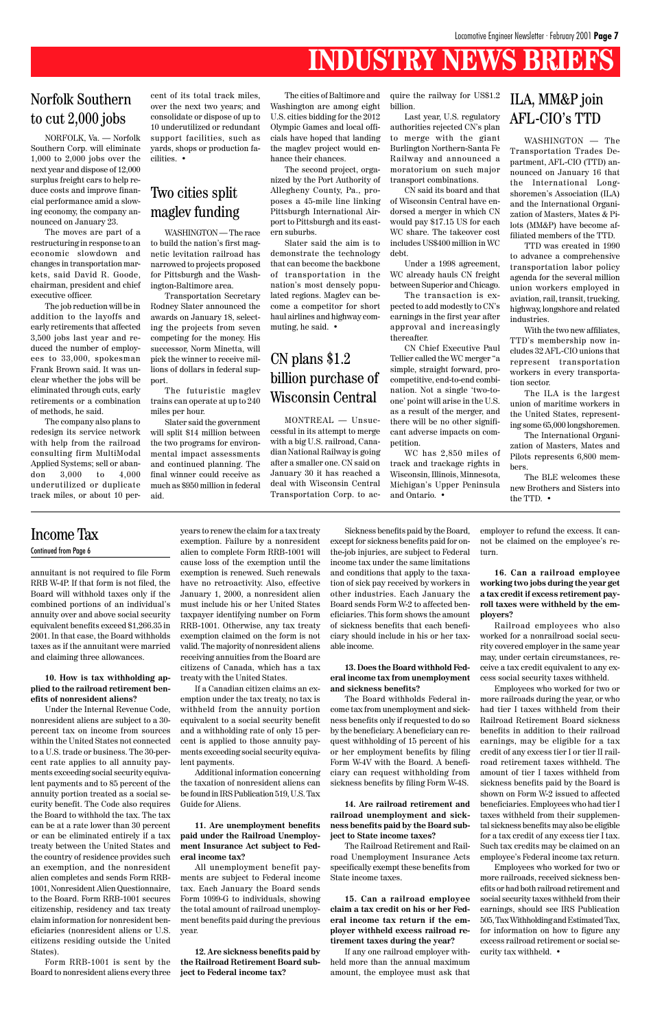## **INDUSTRY NEWS BRIEFS**

annuitant is not required to file Form RRB W-4P. If that form is not filed, the Board will withhold taxes only if the combined portions of an individual's annuity over and above social security equivalent benefits exceed \$1,266.35 in 2001. In that case, the Board withholds taxes as if the annuitant were married and claiming three allowances.

#### **10. How is tax withholding applied to the railroad retirement benefits of nonresident aliens?**

Under the Internal Revenue Code, nonresident aliens are subject to a 30 percent tax on income from sources within the United States not connected to a U.S. trade or business. The 30-percent rate applies to all annuity payments exceeding social security equivalent payments and to 85 percent of the annuity portion treated as a social security benefit. The Code also requires the Board to withhold the tax. The tax can be at a rate lower than 30 percent or can be eliminated entirely if a tax treaty between the United States and the country of residence provides such an exemption, and the nonresident alien completes and sends Form RRB-1001, Nonresident Alien Questionnaire, to the Board. Form RRB-1001 secures citizenship, residency and tax treaty claim information for nonresident beneficiaries (nonresident aliens or U.S. citizens residing outside the United States).

Form RRB-1001 is sent by the Board to nonresident aliens every three years to renew the claim for a tax treaty exemption. Failure by a nonresident alien to complete Form RRB-1001 will cause loss of the exemption until the exemption is renewed. Such renewals have no retroactivity. Also, effective January 1, 2000, a nonresident alien must include his or her United States taxpayer identifying number on Form RRB-1001. Otherwise, any tax treaty exemption claimed on the form is not valid. The majority of nonresident aliens receiving annuities from the Board are citizens of Canada, which has a tax treaty with the United States.

If a Canadian citizen claims an exemption under the tax treaty, no tax is withheld from the annuity portion equivalent to a social security benefit and a withholding rate of only 15 percent is applied to those annuity payments exceeding social security equiva-

lent payments.

Additional information concerning the taxation of nonresident aliens can be found in IRS Publication 519, U.S. Tax Guide for Aliens.

**11. Are unemployment benefits paid under the Railroad Unemployment Insurance Act subject to Federal income tax?**

All unemployment benefit payments are subject to Federal income tax. Each January the Board sends Form 1099-G to individuals, showing the total amount of railroad unemployment benefits paid during the previous year.

**12. Are sickness benefits paid by the Railroad Retirement Board subject to Federal income tax?**

Sickness benefits paid by the Board, except for sickness benefits paid for onthe-job injuries, are subject to Federal income tax under the same limitations and conditions that apply to the taxation of sick pay received by workers in other industries. Each January the Board sends Form W-2 to affected beneficiaries. This form shows the amount of sickness benefits that each beneficiary should include in his or her taxable income.

#### **13. Does the Board withhold Federal income tax from unemployment and sickness benefits?**

The Board withholds Federal income tax from unemployment and sickness benefits only if requested to do so by the beneficiary. A beneficiary can request withholding of 15 percent of his or her employment benefits by filing

Form W-4V with the Board. A beneficiary can request withholding from sickness benefits by filing Form W-4S.

**14. Are railroad retirement and railroad unemployment and sickness benefits paid by the Board subject to State income taxes?**

The Railroad Retirement and Railroad Unemployment Insurance Acts specifically exempt these benefits from State income taxes.

**15. Can a railroad employee claim a tax credit on his or her Federal income tax return if the employer withheld excess railroad retirement taxes during the year?**

If any one railroad employer withheld more than the annual maximum amount, the employee must ask that employer to refund the excess. It cannot be claimed on the employee's return.

**16. Can a railroad employee working two jobs during the year get a tax credit if excess retirement payroll taxes were withheld by the employers?**

Railroad employees who also worked for a nonrailroad social security covered employer in the same year may, under certain circumstances, receive a tax credit equivalent to any excess social security taxes withheld.

Employees who worked for two or more railroads during the year, or who had tier I taxes withheld from their Railroad Retirement Board sickness benefits in addition to their railroad earnings, may be eligible for a tax credit of any excess tier I or tier II railroad retirement taxes withheld. The amount of tier I taxes withheld from sickness benefits paid by the Board is shown on Form W-2 issued to affected beneficiaries. Employees who had tier I taxes withheld from their supplemental sickness benefits may also be eligible for a tax credit of any excess tier I tax. Such tax credits may be claimed on an employee's Federal income tax return. Employees who worked for two or more railroads, received sickness benefits or had both railroad retirement and social security taxes withheld from their earnings, should see IRS Publication 505, Tax Withholding and Estimated Tax, for information on how to figure any excess railroad retirement or social security tax withheld. •

## Income Tax

#### Continued from Page 6

NORFOLK, Va. — Norfolk Southern Corp. will eliminate 1,000 to 2,000 jobs over the next year and dispose of 12,000 surplus freight cars to help reduce costs and improve financial performance amid a slowing economy, the company announced on January 23.

The moves are part of a restructuring in response to an economic slowdown and changes in transportation markets, said David R. Goode, chairman, president and chief executive officer.

The job reduction will be in addition to the layoffs and early retirements that affected 3,500 jobs last year and reduced the number of employees to 33,000, spokesman Frank Brown said. It was unclear whether the jobs will be eliminated through cuts, early retirements or a combination of methods, he said.

The company also plans to redesign its service network with help from the railroad consulting firm MultiModal Applied Systems; sell or abandon 3,000 to 4,000 underutilized or duplicate track miles, or about 10 percent of its total track miles, over the next two years; and consolidate or dispose of up to 10 underutilized or redundant support facilities, such as yards, shops or production facilities. •

## Norfolk Southern to cut 2,000 jobs

## Two cities split maglev funding

WASHINGTON — The race to build the nation's first magnetic levitation railroad has narrowed to projects proposed for Pittsburgh and the Washington-Baltimore area.

Transportation Secretary Rodney Slater announced the awards on January 18, selecting the projects from seven competing for the money. His successor, Norm Minetta, will pick the winner to receive millions of dollars in federal support.

The futuristic maglev trains can operate at up to 240 miles per hour.

Slater said the government will split \$14 million between the two programs for environmental impact assessments and continued planning. The final winner could receive as much as \$950 million in federal aid.

The cities of Baltimore and Washington are among eight U.S. cities bidding for the 2012 Olympic Games and local officials have hoped that landing the maglev project would enhance their chances.

The second project, organized by the Port Authority of Allegheny County, Pa., proposes a 45-mile line linking Pittsburgh International Airport to Pittsburgh and its eastern suburbs.

Slater said the aim is to demonstrate the technology that can become the backbone of transportation in the nation's most densely populated regions. Maglev can become a competitor for short haul airlines and highway commuting, he said. •

WASHINGTON — The Transportation Trades Department, AFL-CIO (TTD) announced on January 16 that the International Longshoremen's Association (ILA) and the International Organization of Masters, Mates & Pilots (MM&P) have become affiliated members of the TTD.

TTD was created in 1990 to advance a comprehensive transportation labor policy agenda for the several million union workers employed in aviation, rail, transit, trucking, highway, longshore and related industries.

With the two new affiliates, TTD's membership now includes 32 AFL-CIO unions that represent transportation workers in every transportation sector.

The ILA is the largest union of maritime workers in the United States, representing some 65,000 longshoremen.

The International Organization of Masters, Mates and Pilots represents 6,800 members.

The BLE welcomes these new Brothers and Sisters into the TTD. •

## ILA, MM&P join AFL-CIO's TTD

## CN plans \$1.2 billion purchase of Wisconsin Central

MONTREAL — Unsuccessful in its attempt to merge with a big U.S. railroad, Canadian National Railway is going after a smaller one. CN said on January 30 it has reached a deal with Wisconsin Central Transportation Corp. to ac-

quire the railway for US\$1.2 billion.

Last year, U.S. regulatory authorities rejected CN's plan to merge with the giant Burlington Northern-Santa Fe Railway and announced a moratorium on such major transport combinations.

CN said its board and that of Wisconsin Central have endorsed a merger in which CN would pay \$17.15 US for each WC share. The takeover cost includes US\$400 million in WC debt.

Under a 1998 agreement, WC already hauls CN freight between Superior and Chicago.

The transaction is expected to add modestly to CN's earnings in the first year after approval and increasingly thereafter.

CN Chief Executive Paul Tellier called the WC merger "a simple, straight forward, procompetitive, end-to-end combination. Not a single 'two-toone' point will arise in the U.S. as a result of the merger, and there will be no other significant adverse impacts on competition.

WC has 2,850 miles of track and trackage rights in Wisconsin, Illinois, Minnesota, Michigan's Upper Peninsula and Ontario. •